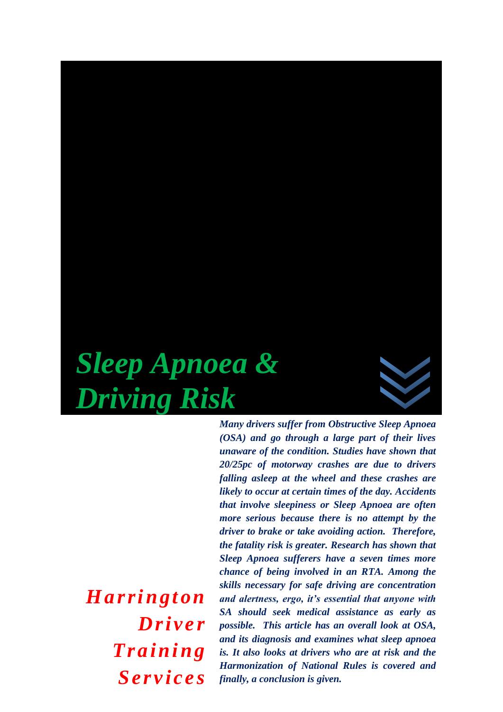# *Sleep Apnoea & Driving Risk*

*H arri ngton Dr i v e r*   $$ *Se r v i c e s*

*Many drivers suffer from Obstructive Sleep Apnoea (OSA) and go through a large part of their lives unaware of the condition. Studies have shown that 20/25pc of motorway crashes are due to drivers falling asleep at the wheel and these crashes are likely to occur at certain times of the day. Accidents that involve sleepiness or Sleep Apnoea are often more serious because there is no attempt by the driver to brake or take avoiding action. Therefore, the fatality risk is greater. Research has shown that Sleep Apnoea sufferers have a seven times more chance of being involved in an RTA. Among the skills necessary for safe driving are concentration and alertness, ergo, it's essential that anyone with SA should seek medical assistance as early as possible. This article has an overall look at OSA, and its diagnosis and examines what sleep apnoea is. It also looks at drivers who are at risk and the Harmonization of National Rules is covered and finally, a conclusion is given.*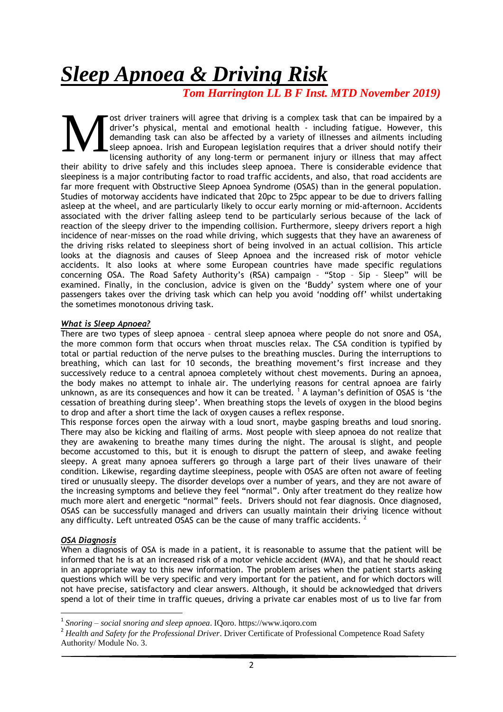# *Sleep Apnoea & Driving Risk*

*Tom Harrington LL B F Inst. MTD November 2019)*

ost driver trainers will agree that driving is a complex task that can be impaired by a driver's physical, mental and emotional health - including fatigue. However, this demanding task can also be affected by a variety of illnesses and ailments including sleep apnoea. Irish and European legislation requires that a driver should notify their licensing authority of any long-term or permanent injury or illness that may affect their ability to drive safely and this includes sleep apnoea. There is considerable evidence that sleepiness is a major contributing factor to road traffic accidents, and also, that road accidents are far more frequent with Obstructive Sleep Apnoea Syndrome (OSAS) than in the general population. Studies of motorway accidents have indicated that 20pc to 25pc appear to be due to drivers falling asleep at the wheel, and are particularly likely to occur early morning or mid-afternoon. Accidents associated with the driver falling asleep tend to be particularly serious because of the lack of reaction of the sleepy driver to the impending collision. Furthermore, sleepy drivers report a high incidence of near-misses on the road while driving, which suggests that they have an awareness of the driving risks related to sleepiness short of being involved in an actual collision. This article looks at the diagnosis and causes of Sleep Apnoea and the increased risk of motor vehicle accidents. It also looks at where some European countries have made specific regulations concerning OSA. The Road Safety Authority's (RSA) campaign – "Stop – Sip – Sleep" will be examined. Finally, in the conclusion, advice is given on the 'Buddy' system where one of your passengers takes over the driving task which can help you avoid 'nodding off' whilst undertaking the sometimes monotonous driving task. M

## *What is Sleep Apnoea?*

There are two types of sleep apnoea – central sleep apnoea where people do not snore and OSA, the more common form that occurs when throat muscles relax. The CSA condition is typified by total or partial reduction of the nerve pulses to the breathing muscles. During the interruptions to breathing, which can last for 10 seconds, the breathing movement's first increase and they successively reduce to a central apnoea completely without chest movements. During an apnoea, the body makes no attempt to inhale air. The underlying reasons for central apnoea are fairly unknown, as are its consequences and how it can be treated.  $1$  A layman's definition of OSAS is 'the cessation of breathing during sleep'. When breathing stops the levels of oxygen in the blood begins to drop and after a short time the lack of oxygen causes a reflex response.

This response forces open the airway with a loud snort, maybe gasping breaths and loud snoring. There may also be kicking and flailing of arms. Most people with sleep apnoea do not realize that they are awakening to breathe many times during the night. The arousal is slight, and people become accustomed to this, but it is enough to disrupt the pattern of sleep, and awake feeling sleepy. A great many apnoea sufferers go through a large part of their lives unaware of their condition. Likewise, regarding daytime sleepiness, people with OSAS are often not aware of feeling tired or unusually sleepy. The disorder develops over a number of years, and they are not aware of the increasing symptoms and believe they feel "normal". Only after treatment do they realize how much more alert and energetic "normal" feels. Drivers should not fear diagnosis. Once diagnosed, OSAS can be successfully managed and drivers can usually maintain their driving licence without any difficulty. Left untreated OSAS can be the cause of many traffic accidents.  $2^2$ 

# *OSA Diagnosis*

**.** 

When a diagnosis of OSA is made in a patient, it is reasonable to assume that the patient will be informed that he is at an increased risk of a motor vehicle accident (MVA), and that he should react in an appropriate way to this new information. The problem arises when the patient starts asking questions which will be very specific and very important for the patient, and for which doctors will not have precise, satisfactory and clear answers. Although, it should be acknowledged that drivers spend a lot of their time in traffic queues, driving a private car enables most of us to live far from

<sup>1</sup> *Snoring – social snoring and sleep apnoea*. IQoro. https://www.iqoro.com

<sup>2</sup> *Health and Safety for the Professional Driver*. Driver Certificate of Professional Competence Road Safety Authority/ Module No. 3.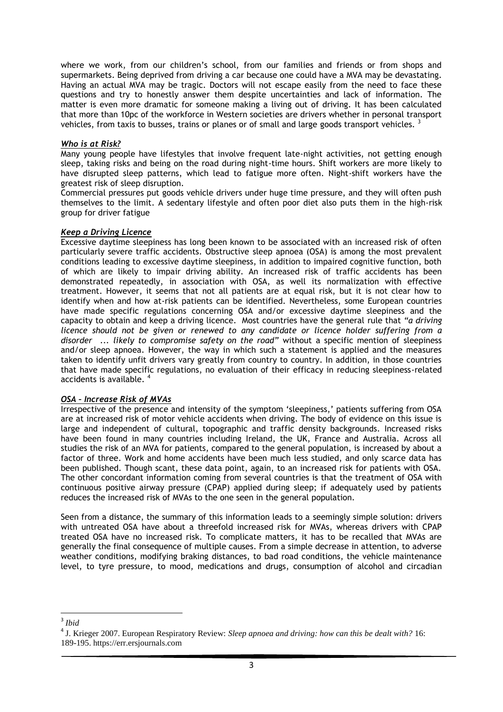where we work, from our children's school, from our families and friends or from shops and supermarkets. Being deprived from driving a car because one could have a MVA may be devastating. Having an actual MVA may be tragic. Doctors will not escape easily from the need to face these questions and try to honestly answer them despite uncertainties and lack of information. The matter is even more dramatic for someone making a living out of driving. It has been calculated that more than 10pc of the workforce in Western societies are drivers whether in personal transport vehicles, from taxis to busses, trains or planes or of small and large goods transport vehicles.<sup>3</sup>

#### *Who is at Risk?*

Many young people have lifestyles that involve frequent late-night activities, not getting enough sleep, taking risks and being on the road during night-time hours. Shift workers are more likely to have disrupted sleep patterns, which lead to fatigue more often. Night-shift workers have the greatest risk of sleep disruption.

Commercial pressures put goods vehicle drivers under huge time pressure, and they will often push themselves to the limit. A sedentary lifestyle and often poor diet also puts them in the high-risk group for driver fatigue

## *Keep a Driving Licence*

Excessive daytime sleepiness has long been known to be associated with an increased risk of often particularly severe traffic accidents. Obstructive sleep apnoea (OSA) is among the most prevalent conditions leading to excessive daytime sleepiness, in addition to impaired cognitive function, both of which are likely to impair driving ability. An increased risk of traffic accidents has been demonstrated repeatedly, in association with OSA, as well its normalization with effective treatment. However, it seems that not all patients are at equal risk, but it is not clear how to identify when and how at-risk patients can be identified. Nevertheless, some European countries have made specific regulations concerning OSA and/or excessive daytime sleepiness and the capacity to obtain and keep a driving licence. Most countries have the general rule that *"a driving licence should not be given or renewed to any candidate or licence holder suffering from a disorder ... likely to compromise safety on the road"* without a specific mention of sleepiness and/or sleep apnoea. However, the way in which such a statement is applied and the measures taken to identify unfit drivers vary greatly from country to country. In addition, in those countries that have made specific regulations, no evaluation of their efficacy in reducing sleepiness-related accidents is available. <sup>4</sup>

# *OSA – Increase Risk of MVAs*

Irrespective of the presence and intensity of the symptom 'sleepiness,' patients suffering from OSA are at increased risk of motor vehicle accidents when driving. The body of evidence on this issue is large and independent of cultural, topographic and traffic density backgrounds. Increased risks have been found in many countries including Ireland, the UK, France and Australia. Across all studies the risk of an MVA for patients, compared to the general population, is increased by about a factor of three. Work and home accidents have been much less studied, and only scarce data has been published. Though scant, these data point, again, to an increased risk for patients with OSA. The other concordant information coming from several countries is that the treatment of OSA with continuous positive airway pressure (CPAP) applied during sleep; if adequately used by patients reduces the increased risk of MVAs to the one seen in the general population.

Seen from a distance, the summary of this information leads to a seemingly simple solution: drivers with untreated OSA have about a threefold increased risk for MVAs, whereas drivers with CPAP treated OSA have no increased risk. To complicate matters, it has to be recalled that MVAs are generally the final consequence of multiple causes. From a simple decrease in attention, to adverse weather conditions, modifying braking distances, to bad road conditions, the vehicle maintenance level, to tyre pressure, to mood, medications and drugs, consumption of alcohol and circadian

 3 *Ibid*

<sup>4</sup> J. Krieger 2007. European Respiratory Review: *Sleep apnoea and driving: how can this be dealt with?* 16: 189-195. https://err.ersjournals.com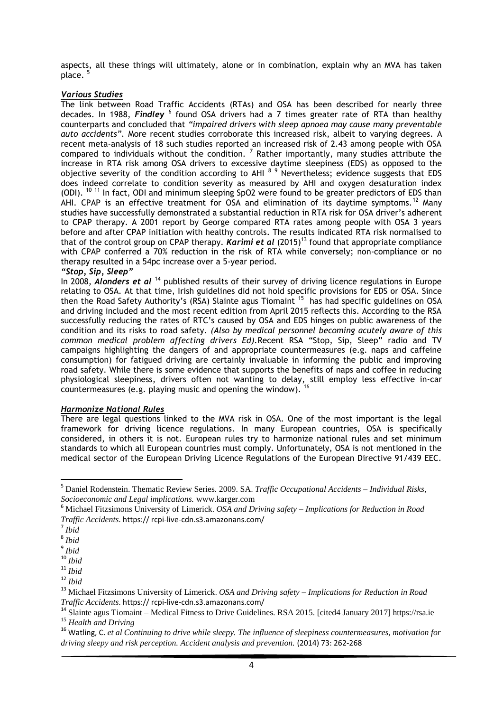aspects, all these things will ultimately, alone or in combination, explain why an MVA has taken place. <sup>5</sup>

#### *Various Studies*

The link between Road Traffic Accidents (RTAs) and OSA has been described for nearly three decades. In 1988, *Findley* <sup>6</sup> found OSA drivers had a 7 times greater rate of RTA than healthy counterparts and concluded that *"impaired drivers with sleep apnoea may cause many preventable auto accidents".* More recent studies corroborate this increased risk, albeit to varying degrees. A recent meta-analysis of 18 such studies reported an increased risk of 2.43 among people with OSA compared to individuals without the condition.  $^7$  Rather importantly, many studies attribute the increase in RTA risk among OSA drivers to excessive daytime sleepiness (EDS) as opposed to the objective severity of the condition according to AHI <sup>8</sup><sup>9</sup> Nevertheless; evidence suggests that EDS does indeed correlate to condition severity as measured by AHI and oxygen desaturation index (ODI). <sup>10 11</sup> In fact, ODI and minimum sleeping SpO2 were found to be greater predictors of EDS than AHI. CPAP is an effective treatment for OSA and elimination of its daytime symptoms.<sup>12</sup> Many studies have successfully demonstrated a substantial reduction in RTA risk for OSA driver's adherent to CPAP therapy. A 2001 report by George compared RTA rates among people with OSA 3 years before and after CPAP initiation with healthy controls. The results indicated RTA risk normalised to that of the control group on CPAP therapy. *Karimi et al* (2015) <sup>13</sup> found that appropriate compliance with CPAP conferred a 70% reduction in the risk of RTA while conversely; non-compliance or no therapy resulted in a 54pc increase over a 5-year period.

#### *"Stop, Sip, Sleep"*

In 2008, *Alonders et al* <sup>14</sup> published results of their survey of driving licence regulations in Europe relating to OSA. At that time, Irish guidelines did not hold specific provisions for EDS or OSA. Since then the Road Safety Authority's (RSA) Slainte agus Tiomaint<sup>15</sup> has had specific guidelines on OSA and driving included and the most recent edition from April 2015 reflects this. According to the RSA successfully reducing the rates of RTC's caused by OSA and EDS hinges on public awareness of the condition and its risks to road safety. *(Also by medical personnel becoming acutely aware of this common medical problem affecting drivers Ed).*Recent RSA "Stop, Sip, Sleep" radio and TV campaigns highlighting the dangers of and appropriate countermeasures (e.g. naps and caffeine consumption) for fatigued driving are certainly invaluable in informing the public and improving road safety. While there is some evidence that supports the benefits of naps and coffee in reducing physiological sleepiness, drivers often not wanting to delay, still employ less effective in-car countermeasures (e.g. playing music and opening the window).

#### *Harmonize National Rules*

There are legal questions linked to the MVA risk in OSA. One of the most important is the legal framework for driving licence regulations. In many European countries, OSA is specifically considered, in others it is not. European rules try to harmonize national rules and set minimum standards to which all European countries must comply. Unfortunately, OSA is not mentioned in the medical sector of the European Driving Licence Regulations of the European Directive 91/439 EEC.

1

<sup>5</sup> Daniel Rodenstein. Thematic Review Series. 2009. SA. *Traffic Occupational Accidents – Individual Risks, Socioeconomic and Legal implications.* www.karger.com

<sup>6</sup> Michael Fitzsimons University of Limerick. *OSA and Driving safety – Implications for Reduction in Road Traffic Accidents*. https:// rcpi-live-cdn.s3.amazonans.com/

<sup>7</sup> *Ibid*

<sup>8</sup> *Ibid*

<sup>9</sup> *Ibid*

<sup>10</sup> *Ibid*

<sup>11</sup> *Ibid*

<sup>12</sup> *Ibid*

<sup>13</sup> Michael Fitzsimons University of Limerick. *OSA and Driving safety – Implications for Reduction in Road Traffic Accidents*. https:// rcpi-live-cdn.s3.amazonans.com/

<sup>&</sup>lt;sup>14</sup> Slainte agus Tiomaint – Medical Fitness to Drive Guidelines. RSA 2015. [cited4 January 2017] https://rsa.ie <sup>15</sup> *Health and Driving*

<sup>16</sup> Watling, C. *et al Continuing to drive while sleepy. The influence of sleepiness countermeasures, motivation for driving sleepy and risk perception. Accident analysis and prevention.* (2014) 73: 262-268